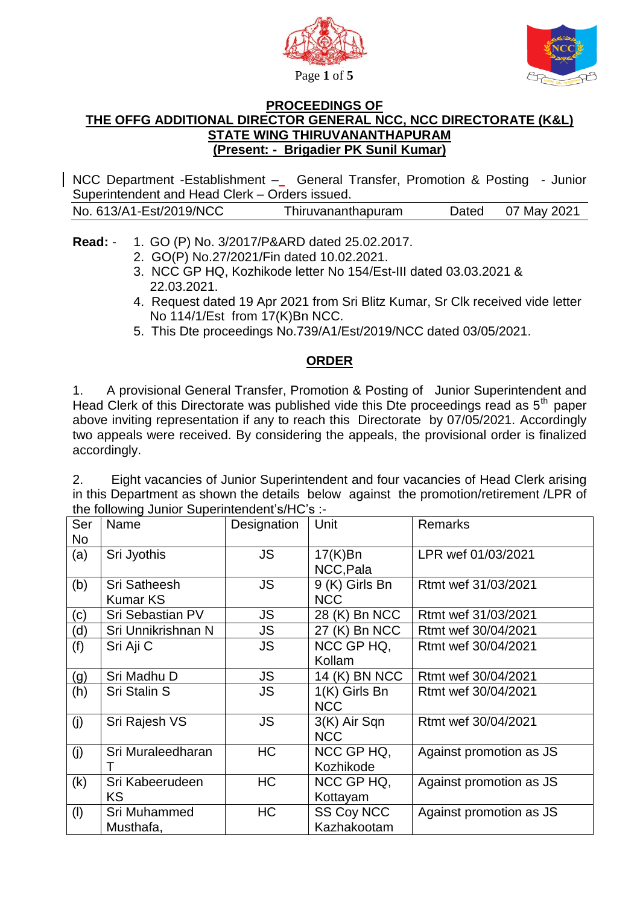



## **PROCEEDINGS OF THE OFFG ADDITIONAL DIRECTOR GENERAL NCC, NCC DIRECTORATE (K&L) STATE WING THIRUVANANTHAPURAM (Present: - Brigadier PK Sunil Kumar)**

NCC Department -Establishment – General Transfer, Promotion & Posting - Junior Superintendent and Head Clerk – Orders issued.

| No. 613/A1-Est/2019/NCC<br>Dated 07 May 2021<br>Thiruvananthapuram |  |
|--------------------------------------------------------------------|--|
|--------------------------------------------------------------------|--|

**Read:** - 1. GO (P) No. 3/2017/P&ARD dated 25.02.2017.

- 2. GO(P) No.27/2021/Fin dated 10.02.2021.
- 3. NCC GP HQ, Kozhikode letter No 154/Est-III dated 03.03.2021 & 22.03.2021.
- 4. Request dated 19 Apr 2021 from Sri Blitz Kumar, Sr Clk received vide letter No 114/1/Est from 17(K)Bn NCC.
- 5. This Dte proceedings No.739/A1/Est/2019/NCC dated 03/05/2021.

## **ORDER**

1. A provisional General Transfer, Promotion & Posting of Junior Superintendent and Head Clerk of this Directorate was published vide this Dte proceedings read as  $5<sup>th</sup>$  paper above inviting representation if any to reach this Directorate by 07/05/2021. Accordingly two appeals were received. By considering the appeals, the provisional order is finalized accordingly.

2. Eight vacancies of Junior Superintendent and four vacancies of Head Clerk arising in this Department as shown the details below against the promotion/retirement /LPR of the following Junior Superintendent's/HC's :-

| Ser<br>No | Name                                   | Designation | Unit                             | <b>Remarks</b>          |
|-----------|----------------------------------------|-------------|----------------------------------|-------------------------|
| (a)       | Sri Jyothis                            | <b>JS</b>   | $17(K)$ Bn<br>NCC, Pala          | LPR wef 01/03/2021      |
| (b)       | <b>Sri Satheesh</b><br><b>Kumar KS</b> | <b>JS</b>   | 9 (K) Girls Bn<br><b>NCC</b>     | Rtmt wef 31/03/2021     |
| (c)       | Sri Sebastian PV                       | JS.         | 28 (K) Bn NCC                    | Rtmt wef 31/03/2021     |
| (d)       | Sri Unnikrishnan N                     | JS          | 27 (K) Bn NCC                    | Rtmt wef 30/04/2021     |
| (f)       | Sri Aji C                              | JS.         | NCC GP HQ,<br>Kollam             | Rtmt wef 30/04/2021     |
| (g)       | Sri Madhu D                            | JS.         | 14 (K) BN NCC                    | Rtmt wef 30/04/2021     |
| (h)       | Sri Stalin S                           | JS          | 1(K) Girls Bn<br><b>NCC</b>      | Rtmt wef 30/04/2021     |
| (j)       | Sri Rajesh VS                          | <b>JS</b>   | 3(K) Air Sqn<br><b>NCC</b>       | Rtmt wef 30/04/2021     |
| (j)       | Sri Muraleedharan                      | <b>HC</b>   | NCC GP HQ,<br>Kozhikode          | Against promotion as JS |
| (k)       | Sri Kabeerudeen                        | <b>HC</b>   | NCC GP HQ,                       | Against promotion as JS |
|           | KS                                     |             | Kottayam                         |                         |
| (1)       | Sri Muhammed<br>Musthafa,              | HC          | <b>SS Coy NCC</b><br>Kazhakootam | Against promotion as JS |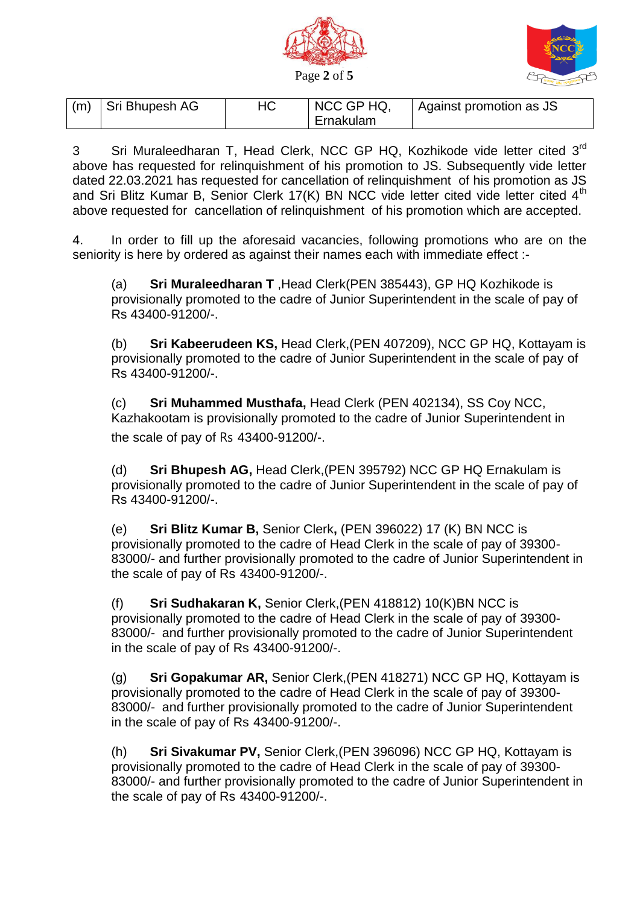



| (m) | Sri Bhupesh AG | 7U | NCC GP HQ. | Against promotion as JS |
|-----|----------------|----|------------|-------------------------|
|     |                |    | Ernakulam  |                         |

3 Sri Muraleedharan T, Head Clerk, NCC GP HQ, Kozhikode vide letter cited 3<sup>rd</sup> above has requested for relinquishment of his promotion to JS. Subsequently vide letter dated 22.03.2021 has requested for cancellation of relinquishment of his promotion as JS and Sri Blitz Kumar B, Senior Clerk 17(K) BN NCC vide letter cited vide letter cited  $4<sup>th</sup>$ above requested for cancellation of relinquishment of his promotion which are accepted.

4. In order to fill up the aforesaid vacancies, following promotions who are on the seniority is here by ordered as against their names each with immediate effect :-

(a) **Sri Muraleedharan T** ,Head Clerk(PEN 385443), GP HQ Kozhikode is provisionally promoted to the cadre of Junior Superintendent in the scale of pay of Rs 43400-91200/-.

(b) **Sri Kabeerudeen KS,** Head Clerk,(PEN 407209), NCC GP HQ, Kottayam is provisionally promoted to the cadre of Junior Superintendent in the scale of pay of Rs 43400-91200/-.

(c) **Sri Muhammed Musthafa,** Head Clerk (PEN 402134), SS Coy NCC, Kazhakootam is provisionally promoted to the cadre of Junior Superintendent in the scale of pay of Rs 43400-91200/-.

(d) **Sri Bhupesh AG,** Head Clerk,(PEN 395792) NCC GP HQ Ernakulam is provisionally promoted to the cadre of Junior Superintendent in the scale of pay of Rs 43400-91200/-.

(e) **Sri Blitz Kumar B,** Senior Clerk**,** (PEN 396022) 17 (K) BN NCC is provisionally promoted to the cadre of Head Clerk in the scale of pay of 39300- 83000/- and further provisionally promoted to the cadre of Junior Superintendent in the scale of pay of Rs 43400-91200/-.

(f) **Sri Sudhakaran K,** Senior Clerk,(PEN 418812) 10(K)BN NCC is provisionally promoted to the cadre of Head Clerk in the scale of pay of 39300- 83000/- and further provisionally promoted to the cadre of Junior Superintendent in the scale of pay of Rs 43400-91200/-.

(g) **Sri Gopakumar AR,** Senior Clerk,(PEN 418271) NCC GP HQ, Kottayam is provisionally promoted to the cadre of Head Clerk in the scale of pay of 39300- 83000/- and further provisionally promoted to the cadre of Junior Superintendent in the scale of pay of Rs 43400-91200/-.

(h) **Sri Sivakumar PV,** Senior Clerk,(PEN 396096) NCC GP HQ, Kottayam is provisionally promoted to the cadre of Head Clerk in the scale of pay of 39300- 83000/- and further provisionally promoted to the cadre of Junior Superintendent in the scale of pay of Rs 43400-91200/-.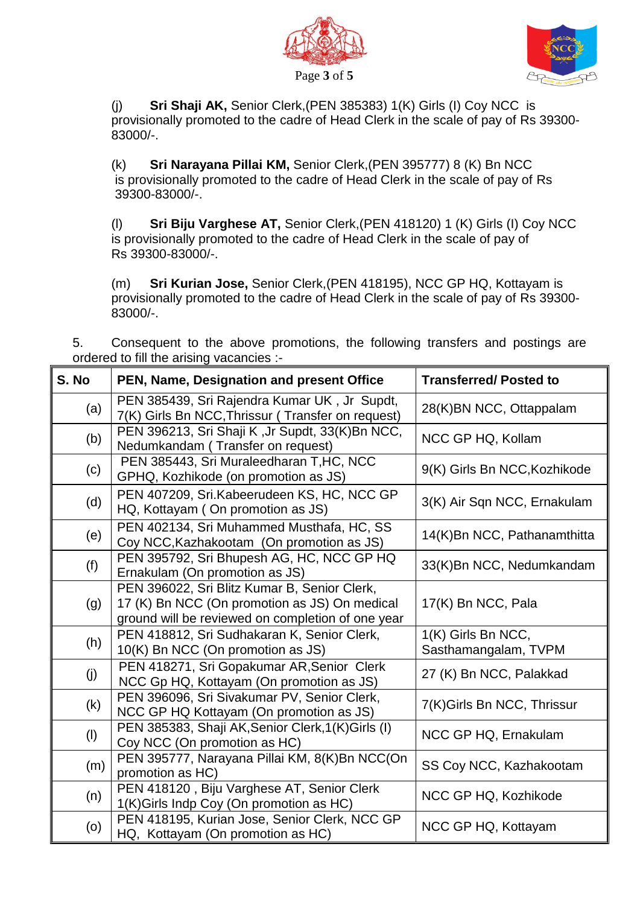



(j) **Sri Shaji AK,** Senior Clerk,(PEN 385383) 1(K) Girls (I) Coy NCC is provisionally promoted to the cadre of Head Clerk in the scale of pay of Rs 39300- 83000/-.

(k) **Sri Narayana Pillai KM,** Senior Clerk,(PEN 395777) 8 (K) Bn NCC is provisionally promoted to the cadre of Head Clerk in the scale of pay of Rs 39300-83000/-.

(l) **Sri Biju Varghese AT,** Senior Clerk,(PEN 418120) 1 (K) Girls (I) Coy NCC is provisionally promoted to the cadre of Head Clerk in the scale of pay of Rs 39300-83000/-.

(m) **Sri Kurian Jose,** Senior Clerk,(PEN 418195), NCC GP HQ, Kottayam is provisionally promoted to the cadre of Head Clerk in the scale of pay of Rs 39300- 83000/-.

5. Consequent to the above promotions, the following transfers and postings are ordered to fill the arising vacancies :-

| S. No | PEN, Name, Designation and present Office                                                                                                          | <b>Transferred/Posted to</b>               |
|-------|----------------------------------------------------------------------------------------------------------------------------------------------------|--------------------------------------------|
| (a)   | PEN 385439, Sri Rajendra Kumar UK, Jr Supdt,<br>7(K) Girls Bn NCC, Thrissur (Transfer on request)                                                  | 28(K)BN NCC, Ottappalam                    |
| (b)   | PEN 396213, Sri Shaji K, Jr Supdt, 33(K)Bn NCC,<br>Nedumkandam (Transfer on request)                                                               | NCC GP HQ, Kollam                          |
| (c)   | PEN 385443, Sri Muraleedharan T, HC, NCC<br>GPHQ, Kozhikode (on promotion as JS)                                                                   | 9(K) Girls Bn NCC, Kozhikode               |
| (d)   | PEN 407209, Sri.Kabeerudeen KS, HC, NCC GP<br>HQ, Kottayam (On promotion as JS)                                                                    | 3(K) Air Sqn NCC, Ernakulam                |
| (e)   | PEN 402134, Sri Muhammed Musthafa, HC, SS<br>Coy NCC, Kazhakootam (On promotion as JS)                                                             | 14(K)Bn NCC, Pathanamthitta                |
| (f)   | PEN 395792, Sri Bhupesh AG, HC, NCC GP HQ<br>Ernakulam (On promotion as JS)                                                                        | 33(K)Bn NCC, Nedumkandam                   |
| (g)   | PEN 396022, Sri Blitz Kumar B, Senior Clerk,<br>17 (K) Bn NCC (On promotion as JS) On medical<br>ground will be reviewed on completion of one year | 17(K) Bn NCC, Pala                         |
| (h)   | PEN 418812, Sri Sudhakaran K, Senior Clerk,<br>10(K) Bn NCC (On promotion as JS)                                                                   | 1(K) Girls Bn NCC,<br>Sasthamangalam, TVPM |
| (j)   | PEN 418271, Sri Gopakumar AR, Senior Clerk<br>NCC Gp HQ, Kottayam (On promotion as JS)                                                             | 27 (K) Bn NCC, Palakkad                    |
| (k)   | PEN 396096, Sri Sivakumar PV, Senior Clerk,<br>NCC GP HQ Kottayam (On promotion as JS)                                                             | 7(K)Girls Bn NCC, Thrissur                 |
| (1)   | PEN 385383, Shaji AK, Senior Clerk, 1(K) Girls (I)<br>Coy NCC (On promotion as HC)                                                                 | NCC GP HQ, Ernakulam                       |
| (m)   | PEN 395777, Narayana Pillai KM, 8(K)Bn NCC(On<br>promotion as HC)                                                                                  | SS Coy NCC, Kazhakootam                    |
| (n)   | PEN 418120, Biju Varghese AT, Senior Clerk<br>1(K)Girls Indp Coy (On promotion as HC)                                                              | NCC GP HQ, Kozhikode                       |
| (0)   | PEN 418195, Kurian Jose, Senior Clerk, NCC GP<br>HQ, Kottayam (On promotion as HC)                                                                 | NCC GP HQ, Kottayam                        |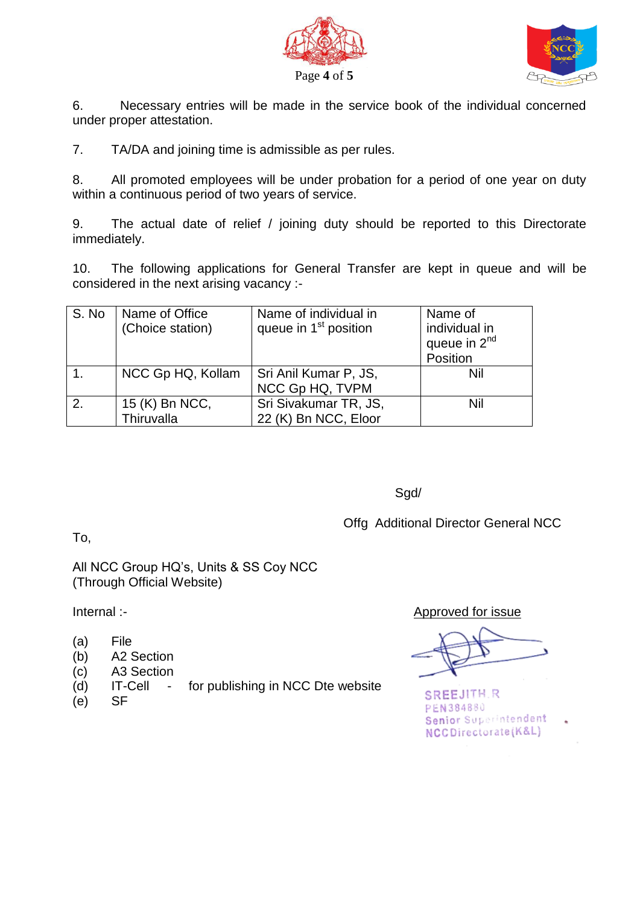



6. Necessary entries will be made in the service book of the individual concerned under proper attestation.

7. TA/DA and joining time is admissible as per rules.

8. All promoted employees will be under probation for a period of one year on duty within a continuous period of two years of service.

9. The actual date of relief / joining duty should be reported to this Directorate immediately.

10. The following applications for General Transfer are kept in queue and will be considered in the next arising vacancy :-

| S. No | Name of Office<br>(Choice station) | Name of individual in<br>queue in 1 <sup>st</sup> position | Name of<br>individual in<br>queue in 2 <sup>nd</sup><br>Position |
|-------|------------------------------------|------------------------------------------------------------|------------------------------------------------------------------|
|       | NCC Gp HQ, Kollam                  | Sri Anil Kumar P, JS,<br>NCC Gp HQ, TVPM                   | Nil                                                              |
| 2.    | 15 (K) Bn NCC,<br>Thiruvalla       | Sri Sivakumar TR, JS,<br>22 (K) Bn NCC, Eloor              | Nil                                                              |

Sgd/

Offg Additional Director General NCC

To,

All NCC Group HQ's, Units & SS Coy NCC (Through Official Website)

- (a) File
- (b) A2 Section
- (c) A3 Section
- (d) IT-Cell for publishing in NCC Dte website
- (e) SF

Internal :-<br>
Approved for issue

**SREEJITH.R** PEN384880 Senior Superintendent NCCDirectorate(K&L)